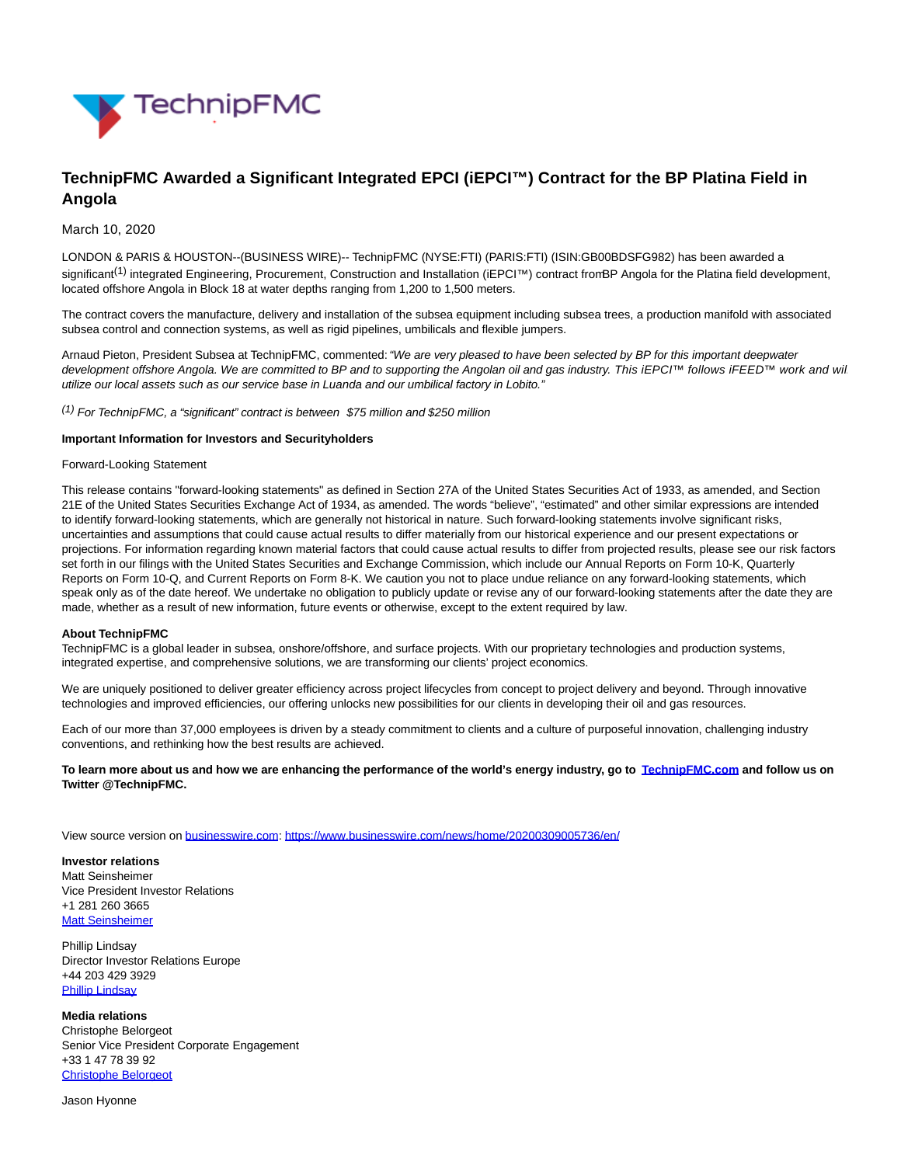

# **TechnipFMC Awarded a Significant Integrated EPCI (iEPCI™) Contract for the BP Platina Field in Angola**

## March 10, 2020

LONDON & PARIS & HOUSTON--(BUSINESS WIRE)-- TechnipFMC (NYSE:FTI) (PARIS:FTI) (ISIN:GB00BDSFG982) has been awarded a significant<sup>(1)</sup> integrated Engineering, Procurement, Construction and Installation (iEPCI™) contract from BP Angola for the Platina field development, located offshore Angola in Block 18 at water depths ranging from 1,200 to 1,500 meters.

The contract covers the manufacture, delivery and installation of the subsea equipment including subsea trees, a production manifold with associated subsea control and connection systems, as well as rigid pipelines, umbilicals and flexible jumpers.

Arnaud Pieton, President Subsea at TechnipFMC, commented: "We are very pleased to have been selected by BP for this important deepwater development offshore Angola. We are committed to BP and to supporting the Angolan oil and gas industry. This iEPCI™ follows iFEED™ work and wil utilize our local assets such as our service base in Luanda and our umbilical factory in Lobito."

 $(1)$  For TechnipFMC, a "significant" contract is between \$75 million and \$250 million

## **Important Information for Investors and Securityholders**

### Forward-Looking Statement

This release contains "forward-looking statements" as defined in Section 27A of the United States Securities Act of 1933, as amended, and Section 21E of the United States Securities Exchange Act of 1934, as amended. The words "believe", "estimated" and other similar expressions are intended to identify forward-looking statements, which are generally not historical in nature. Such forward-looking statements involve significant risks, uncertainties and assumptions that could cause actual results to differ materially from our historical experience and our present expectations or projections. For information regarding known material factors that could cause actual results to differ from projected results, please see our risk factors set forth in our filings with the United States Securities and Exchange Commission, which include our Annual Reports on Form 10-K, Quarterly Reports on Form 10-Q, and Current Reports on Form 8-K. We caution you not to place undue reliance on any forward-looking statements, which speak only as of the date hereof. We undertake no obligation to publicly update or revise any of our forward-looking statements after the date they are made, whether as a result of new information, future events or otherwise, except to the extent required by law.

#### **About TechnipFMC**

TechnipFMC is a global leader in subsea, onshore/offshore, and surface projects. With our proprietary technologies and production systems, integrated expertise, and comprehensive solutions, we are transforming our clients' project economics.

We are uniquely positioned to deliver greater efficiency across project lifecycles from concept to project delivery and beyond. Through innovative technologies and improved efficiencies, our offering unlocks new possibilities for our clients in developing their oil and gas resources.

Each of our more than 37,000 employees is driven by a steady commitment to clients and a culture of purposeful innovation, challenging industry conventions, and rethinking how the best results are achieved.

**To learn more about us and how we are enhancing the performance of the world's energy industry, go to [TechnipFMC.com a](https://cts.businesswire.com/ct/CT?id=smartlink&url=http%3A%2F%2FTechnipFMC.com&esheet=52186201&newsitemid=20200309005736&lan=en-US&anchor=TechnipFMC.com&index=1&md5=8360ee1b1a402147b4d6dbfe06185d1c)nd follow us on Twitter @TechnipFMC.**

View source version on [businesswire.com:](http://businesswire.com/)<https://www.businesswire.com/news/home/20200309005736/en/>

**Investor relations** Matt Seinsheimer Vice President Investor Relations +1 281 260 3665 [Matt Seinsheimer](mailto:InvestorRelations@TechnipFMC.com)

Phillip Lindsay Director Investor Relations Europe +44 203 429 3929 [Phillip Lindsay](mailto:investorrelations@technipfmc.com)

**Media relations** Christophe Belorgeot Senior Vice President Corporate Engagement +33 1 47 78 39 92 [Christophe Belorgeot](mailto:media@TechnipFMC.com)

Jason Hyonne